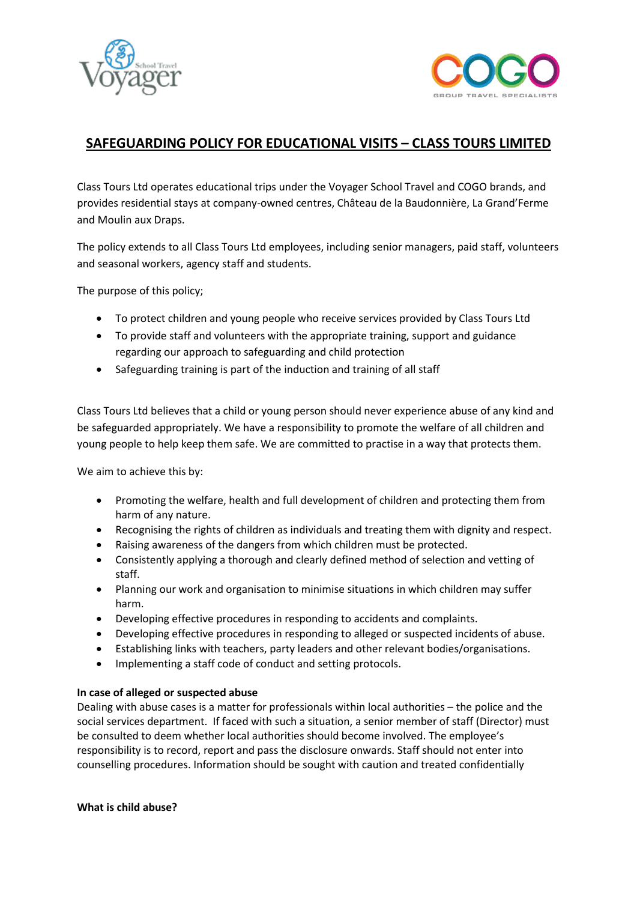



# **SAFEGUARDING POLICY FOR EDUCATIONAL VISITS – CLASS TOURS LIMITED**

Class Tours Ltd operates educational trips under the Voyager School Travel and COGO brands, and provides residential stays at company-owned centres, Château de la Baudonnière, La Grand'Ferme and Moulin aux Draps.

The policy extends to all Class Tours Ltd employees, including senior managers, paid staff, volunteers and seasonal workers, agency staff and students.

The purpose of this policy;

- To protect children and young people who receive services provided by Class Tours Ltd
- To provide staff and volunteers with the appropriate training, support and guidance regarding our approach to safeguarding and child protection
- Safeguarding training is part of the induction and training of all staff

Class Tours Ltd believes that a child or young person should never experience abuse of any kind and be safeguarded appropriately. We have a responsibility to promote the welfare of all children and young people to help keep them safe. We are committed to practise in a way that protects them.

We aim to achieve this by:

- Promoting the welfare, health and full development of children and protecting them from harm of any nature.
- Recognising the rights of children as individuals and treating them with dignity and respect.
- Raising awareness of the dangers from which children must be protected.
- Consistently applying a thorough and clearly defined method of selection and vetting of staff.
- Planning our work and organisation to minimise situations in which children may suffer harm.
- Developing effective procedures in responding to accidents and complaints.
- Developing effective procedures in responding to alleged or suspected incidents of abuse.
- Establishing links with teachers, party leaders and other relevant bodies/organisations.
- Implementing a staff code of conduct and setting protocols.

### **In case of alleged or suspected abuse**

Dealing with abuse cases is a matter for professionals within local authorities – the police and the social services department. If faced with such a situation, a senior member of staff (Director) must be consulted to deem whether local authorities should become involved. The employee's responsibility is to record, report and pass the disclosure onwards. Staff should not enter into counselling procedures. Information should be sought with caution and treated confidentially

#### **What is child abuse?**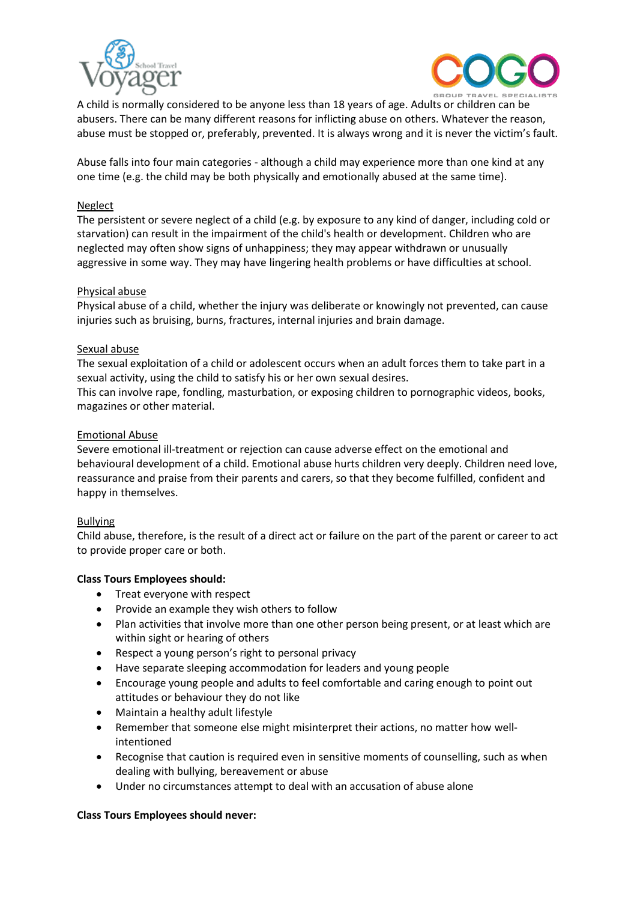



A child is normally considered to be anyone less than 18 years of age. Adults or children can be abusers. There can be many different reasons for inflicting abuse on others. Whatever the reason, abuse must be stopped or, preferably, prevented. It is always wrong and it is never the victim's fault.

Abuse falls into four main categories - although a child may experience more than one kind at any one time (e.g. the child may be both physically and emotionally abused at the same time).

## Neglect

The persistent or severe neglect of a child (e.g. by exposure to any kind of danger, including cold or starvation) can result in the impairment of the child's health or development. Children who are neglected may often show signs of unhappiness; they may appear withdrawn or unusually aggressive in some way. They may have lingering health problems or have difficulties at school.

## Physical abuse

Physical abuse of a child, whether the injury was deliberate or knowingly not prevented, can cause injuries such as bruising, burns, fractures, internal injuries and brain damage.

## Sexual abuse

The sexual exploitation of a child or adolescent occurs when an adult forces them to take part in a sexual activity, using the child to satisfy his or her own sexual desires. This can involve rape, fondling, masturbation, or exposing children to pornographic videos, books,

magazines or other material.

## Emotional Abuse

Severe emotional ill-treatment or rejection can cause adverse effect on the emotional and behavioural development of a child. Emotional abuse hurts children very deeply. Children need love, reassurance and praise from their parents and carers, so that they become fulfilled, confident and happy in themselves.

### Bullying

Child abuse, therefore, is the result of a direct act or failure on the part of the parent or career to act to provide proper care or both.

# **Class Tours Employees should:**

- Treat everyone with respect
- Provide an example they wish others to follow
- Plan activities that involve more than one other person being present, or at least which are within sight or hearing of others
- Respect a young person's right to personal privacy
- Have separate sleeping accommodation for leaders and young people
- Encourage young people and adults to feel comfortable and caring enough to point out attitudes or behaviour they do not like
- Maintain a healthy adult lifestyle
- Remember that someone else might misinterpret their actions, no matter how wellintentioned
- Recognise that caution is required even in sensitive moments of counselling, such as when dealing with bullying, bereavement or abuse
- Under no circumstances attempt to deal with an accusation of abuse alone

### **Class Tours Employees should never:**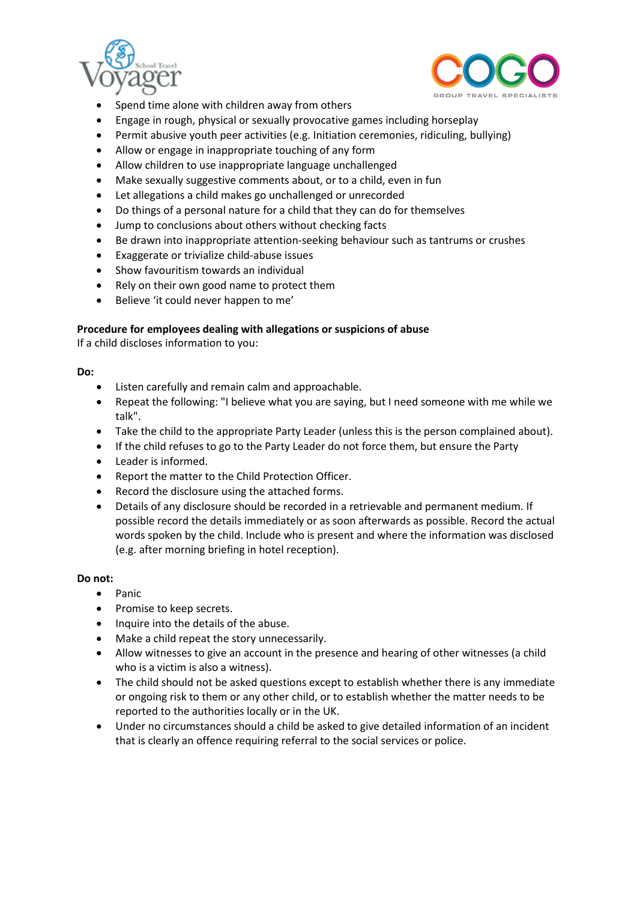



- Spend time alone with children away from others
- Engage in rough, physical or sexually provocative games including horseplay
- Permit abusive youth peer activities (e.g. Initiation ceremonies, ridiculing, bullying)
- Allow or engage in inappropriate touching of any form
- Allow children to use inappropriate language unchallenged
- Make sexually suggestive comments about, or to a child, even in fun
- Let allegations a child makes go unchallenged or unrecorded
- Do things of a personal nature for a child that they can do for themselves
- Jump to conclusions about others without checking facts
- Be drawn into inappropriate attention-seeking behaviour such as tantrums or crushes
- Exaggerate or trivialize child-abuse issues
- Show favouritism towards an individual
- Rely on their own good name to protect them
- Believe 'it could never happen to me'

### **Procedure for employees dealing with allegations or suspicions of abuse**

If a child discloses information to you:

#### **Do:**

- Listen carefully and remain calm and approachable.
- Repeat the following: "I believe what you are saying, but I need someone with me while we talk".
- Take the child to the appropriate Party Leader (unless this is the person complained about).
- If the child refuses to go to the Party Leader do not force them, but ensure the Party
- Leader is informed.
- Report the matter to the Child Protection Officer.
- Record the disclosure using the attached forms.
- Details of any disclosure should be recorded in a retrievable and permanent medium. If possible record the details immediately or as soon afterwards as possible. Record the actual words spoken by the child. Include who is present and where the information was disclosed (e.g. after morning briefing in hotel reception).

### **Do not:**

- Panic
- Promise to keep secrets.
- Inquire into the details of the abuse.
- Make a child repeat the story unnecessarily.
- Allow witnesses to give an account in the presence and hearing of other witnesses (a child who is a victim is also a witness).
- The child should not be asked questions except to establish whether there is any immediate or ongoing risk to them or any other child, or to establish whether the matter needs to be reported to the authorities locally or in the UK.
- Under no circumstances should a child be asked to give detailed information of an incident that is clearly an offence requiring referral to the social services or police.